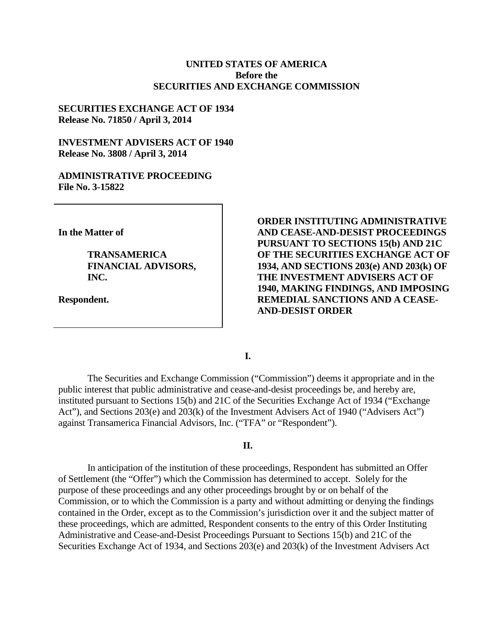### **UNITED STATES OF AMERICA Before the SECURITIES AND EXCHANGE COMMISSION**

### **SECURITIES EXCHANGE ACT OF 1934 Release No. 71850 / April 3, 2014**

### **INVESTMENT ADVISERS ACT OF 1940 Release No. 3808 / April 3, 2014**

### **ADMINISTRATIVE PROCEEDING File No. 3-15822**

**In the Matter of**

**TRANSAMERICA FINANCIAL ADVISORS, INC.**

**Respondent.**

**ORDER INSTITUTING ADMINISTRATIVE AND CEASE-AND-DESIST PROCEEDINGS PURSUANT TO SECTIONS 15(b) AND 21C OF THE SECURITIES EXCHANGE ACT OF 1934, AND SECTIONS 203(e) AND 203(k) OF THE INVESTMENT ADVISERS ACT OF 1940, MAKING FINDINGS, AND IMPOSING REMEDIAL SANCTIONS AND A CEASE-AND-DESIST ORDER** 

**I.**

The Securities and Exchange Commission ("Commission") deems it appropriate and in the public interest that public administrative and cease-and-desist proceedings be, and hereby are, instituted pursuant to Sections 15(b) and 21C of the Securities Exchange Act of 1934 ("Exchange Act"), and Sections 203(e) and 203(k) of the Investment Advisers Act of 1940 ("Advisers Act") against Transamerica Financial Advisors, Inc. ("TFA" or "Respondent").

#### **II.**

In anticipation of the institution of these proceedings, Respondent has submitted an Offer of Settlement (the "Offer") which the Commission has determined to accept. Solely for the purpose of these proceedings and any other proceedings brought by or on behalf of the Commission, or to which the Commission is a party and without admitting or denying the findings contained in the Order, except as to the Commission's jurisdiction over it and the subject matter of these proceedings, which are admitted, Respondent consents to the entry of this Order Instituting Administrative and Cease-and-Desist Proceedings Pursuant to Sections 15(b) and 21C of the Securities Exchange Act of 1934, and Sections 203(e) and 203(k) of the Investment Advisers Act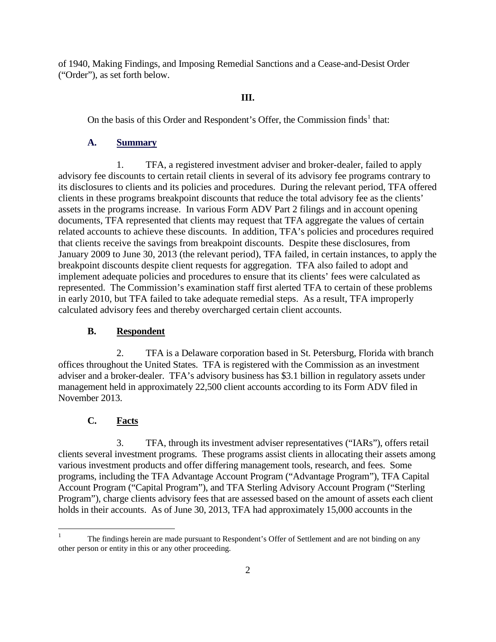of 1940, Making Findings, and Imposing Remedial Sanctions and a Cease-and-Desist Order ("Order"), as set forth below.

## **III.**

On the basis of this Order and Respondent's Offer, the Commission finds<sup>1</sup> that:

## **A. Summary**

1. TFA, a registered investment adviser and broker-dealer, failed to apply advisory fee discounts to certain retail clients in several of its advisory fee programs contrary to its disclosures to clients and its policies and procedures. During the relevant period, TFA offered clients in these programs breakpoint discounts that reduce the total advisory fee as the clients' assets in the programs increase. In various Form ADV Part 2 filings and in account opening documents, TFA represented that clients may request that TFA aggregate the values of certain related accounts to achieve these discounts. In addition, TFA's policies and procedures required that clients receive the savings from breakpoint discounts. Despite these disclosures, from January 2009 to June 30, 2013 (the relevant period), TFA failed, in certain instances, to apply the breakpoint discounts despite client requests for aggregation. TFA also failed to adopt and implement adequate policies and procedures to ensure that its clients' fees were calculated as represented. The Commission's examination staff first alerted TFA to certain of these problems in early 2010, but TFA failed to take adequate remedial steps. As a result, TFA improperly calculated advisory fees and thereby overcharged certain client accounts.

## **B. Respondent**

2. TFA is a Delaware corporation based in St. Petersburg, Florida with branch offices throughout the United States. TFA is registered with the Commission as an investment adviser and a broker-dealer. TFA's advisory business has \$3.1 billion in regulatory assets under management held in approximately 22,500 client accounts according to its Form ADV filed in November 2013.

# **C. Facts**

3. TFA, through its investment adviser representatives ("IARs"), offers retail clients several investment programs. These programs assist clients in allocating their assets among various investment products and offer differing management tools, research, and fees. Some programs, including the TFA Advantage Account Program ("Advantage Program"), TFA Capital Account Program ("Capital Program"), and TFA Sterling Advisory Account Program ("Sterling Program"), charge clients advisory fees that are assessed based on the amount of assets each client holds in their accounts. As of June 30, 2013, TFA had approximately 15,000 accounts in the

 <sup>1</sup> The findings herein are made pursuant to Respondent's Offer of Settlement and are not binding on any other person or entity in this or any other proceeding.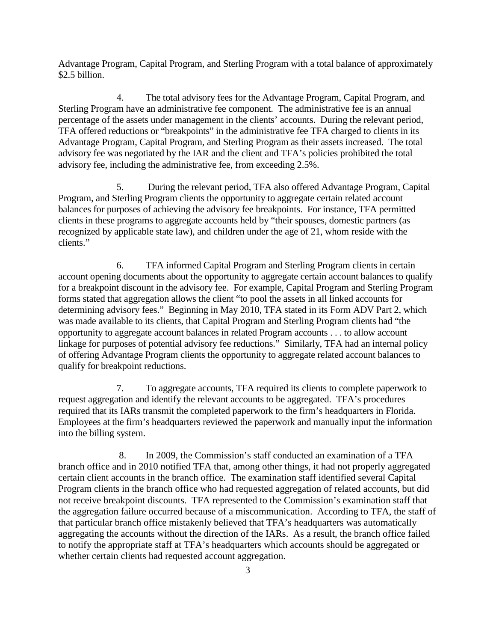Advantage Program, Capital Program, and Sterling Program with a total balance of approximately \$2.5 billion.

4. The total advisory fees for the Advantage Program, Capital Program, and Sterling Program have an administrative fee component. The administrative fee is an annual percentage of the assets under management in the clients' accounts. During the relevant period, TFA offered reductions or "breakpoints" in the administrative fee TFA charged to clients in its Advantage Program, Capital Program, and Sterling Program as their assets increased. The total advisory fee was negotiated by the IAR and the client and TFA's policies prohibited the total advisory fee, including the administrative fee, from exceeding 2.5%.

5. During the relevant period, TFA also offered Advantage Program, Capital Program, and Sterling Program clients the opportunity to aggregate certain related account balances for purposes of achieving the advisory fee breakpoints. For instance, TFA permitted clients in these programs to aggregate accounts held by "their spouses, domestic partners (as recognized by applicable state law), and children under the age of 21, whom reside with the clients."

6. TFA informed Capital Program and Sterling Program clients in certain account opening documents about the opportunity to aggregate certain account balances to qualify for a breakpoint discount in the advisory fee. For example, Capital Program and Sterling Program forms stated that aggregation allows the client "to pool the assets in all linked accounts for determining advisory fees." Beginning in May 2010, TFA stated in its Form ADV Part 2, which was made available to its clients, that Capital Program and Sterling Program clients had "the opportunity to aggregate account balances in related Program accounts . . . to allow account linkage for purposes of potential advisory fee reductions." Similarly, TFA had an internal policy of offering Advantage Program clients the opportunity to aggregate related account balances to qualify for breakpoint reductions.

7. To aggregate accounts, TFA required its clients to complete paperwork to request aggregation and identify the relevant accounts to be aggregated. TFA's procedures required that its IARs transmit the completed paperwork to the firm's headquarters in Florida. Employees at the firm's headquarters reviewed the paperwork and manually input the information into the billing system.

8. In 2009, the Commission's staff conducted an examination of a TFA branch office and in 2010 notified TFA that, among other things, it had not properly aggregated certain client accounts in the branch office. The examination staff identified several Capital Program clients in the branch office who had requested aggregation of related accounts, but did not receive breakpoint discounts. TFA represented to the Commission's examination staff that the aggregation failure occurred because of a miscommunication. According to TFA, the staff of that particular branch office mistakenly believed that TFA's headquarters was automatically aggregating the accounts without the direction of the IARs. As a result, the branch office failed to notify the appropriate staff at TFA's headquarters which accounts should be aggregated or whether certain clients had requested account aggregation.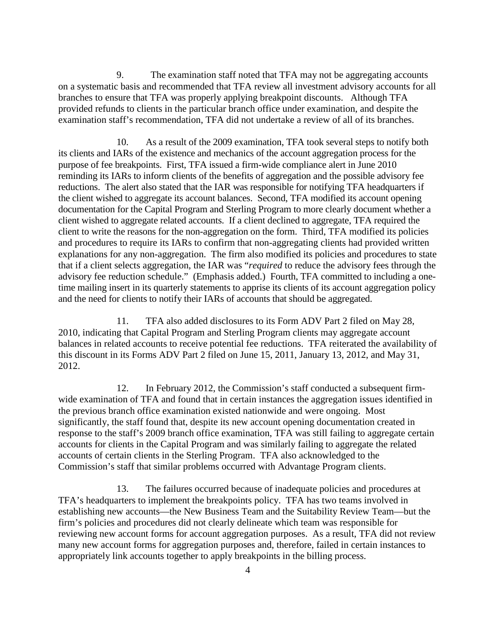9. The examination staff noted that TFA may not be aggregating accounts on a systematic basis and recommended that TFA review all investment advisory accounts for all branches to ensure that TFA was properly applying breakpoint discounts. Although TFA provided refunds to clients in the particular branch office under examination, and despite the examination staff's recommendation, TFA did not undertake a review of all of its branches.

10. As a result of the 2009 examination, TFA took several steps to notify both its clients and IARs of the existence and mechanics of the account aggregation process for the purpose of fee breakpoints. First, TFA issued a firm-wide compliance alert in June 2010 reminding its IARs to inform clients of the benefits of aggregation and the possible advisory fee reductions. The alert also stated that the IAR was responsible for notifying TFA headquarters if the client wished to aggregate its account balances. Second, TFA modified its account opening documentation for the Capital Program and Sterling Program to more clearly document whether a client wished to aggregate related accounts. If a client declined to aggregate, TFA required the client to write the reasons for the non-aggregation on the form. Third, TFA modified its policies and procedures to require its IARs to confirm that non-aggregating clients had provided written explanations for any non-aggregation. The firm also modified its policies and procedures to state that if a client selects aggregation, the IAR was "*required* to reduce the advisory fees through the advisory fee reduction schedule." (Emphasis added.) Fourth, TFA committed to including a onetime mailing insert in its quarterly statements to apprise its clients of its account aggregation policy and the need for clients to notify their IARs of accounts that should be aggregated.

11. TFA also added disclosures to its Form ADV Part 2 filed on May 28, 2010, indicating that Capital Program and Sterling Program clients may aggregate account balances in related accounts to receive potential fee reductions. TFA reiterated the availability of this discount in its Forms ADV Part 2 filed on June 15, 2011, January 13, 2012, and May 31, 2012.

12. In February 2012, the Commission's staff conducted a subsequent firmwide examination of TFA and found that in certain instances the aggregation issues identified in the previous branch office examination existed nationwide and were ongoing. Most significantly, the staff found that, despite its new account opening documentation created in response to the staff's 2009 branch office examination, TFA was still failing to aggregate certain accounts for clients in the Capital Program and was similarly failing to aggregate the related accounts of certain clients in the Sterling Program. TFA also acknowledged to the Commission's staff that similar problems occurred with Advantage Program clients.

13. The failures occurred because of inadequate policies and procedures at TFA's headquarters to implement the breakpoints policy. TFA has two teams involved in establishing new accounts—the New Business Team and the Suitability Review Team—but the firm's policies and procedures did not clearly delineate which team was responsible for reviewing new account forms for account aggregation purposes. As a result, TFA did not review many new account forms for aggregation purposes and, therefore, failed in certain instances to appropriately link accounts together to apply breakpoints in the billing process.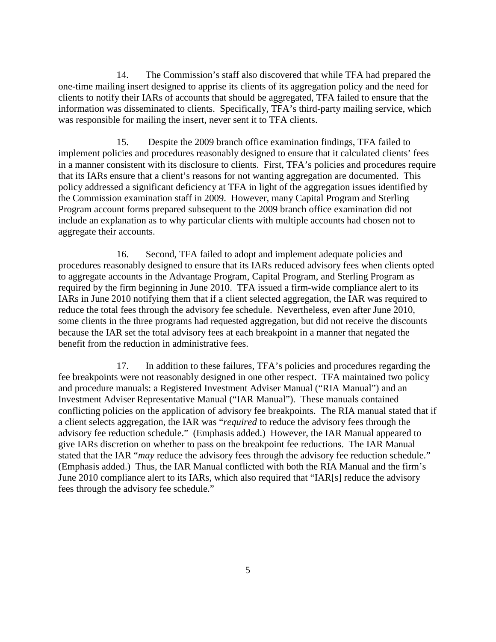14. The Commission's staff also discovered that while TFA had prepared the one-time mailing insert designed to apprise its clients of its aggregation policy and the need for clients to notify their IARs of accounts that should be aggregated, TFA failed to ensure that the information was disseminated to clients. Specifically, TFA's third-party mailing service, which was responsible for mailing the insert, never sent it to TFA clients.

15. Despite the 2009 branch office examination findings, TFA failed to implement policies and procedures reasonably designed to ensure that it calculated clients' fees in a manner consistent with its disclosure to clients. First, TFA's policies and procedures require that its IARs ensure that a client's reasons for not wanting aggregation are documented. This policy addressed a significant deficiency at TFA in light of the aggregation issues identified by the Commission examination staff in 2009. However, many Capital Program and Sterling Program account forms prepared subsequent to the 2009 branch office examination did not include an explanation as to why particular clients with multiple accounts had chosen not to aggregate their accounts.

16. Second, TFA failed to adopt and implement adequate policies and procedures reasonably designed to ensure that its IARs reduced advisory fees when clients opted to aggregate accounts in the Advantage Program, Capital Program, and Sterling Program as required by the firm beginning in June 2010. TFA issued a firm-wide compliance alert to its IARs in June 2010 notifying them that if a client selected aggregation, the IAR was required to reduce the total fees through the advisory fee schedule. Nevertheless, even after June 2010, some clients in the three programs had requested aggregation, but did not receive the discounts because the IAR set the total advisory fees at each breakpoint in a manner that negated the benefit from the reduction in administrative fees.

17. In addition to these failures, TFA's policies and procedures regarding the fee breakpoints were not reasonably designed in one other respect. TFA maintained two policy and procedure manuals: a Registered Investment Adviser Manual ("RIA Manual") and an Investment Adviser Representative Manual ("IAR Manual"). These manuals contained conflicting policies on the application of advisory fee breakpoints. The RIA manual stated that if a client selects aggregation, the IAR was "*required* to reduce the advisory fees through the advisory fee reduction schedule." (Emphasis added.) However, the IAR Manual appeared to give IARs discretion on whether to pass on the breakpoint fee reductions. The IAR Manual stated that the IAR "*may* reduce the advisory fees through the advisory fee reduction schedule." (Emphasis added.) Thus, the IAR Manual conflicted with both the RIA Manual and the firm's June 2010 compliance alert to its IARs, which also required that "IAR[s] reduce the advisory fees through the advisory fee schedule."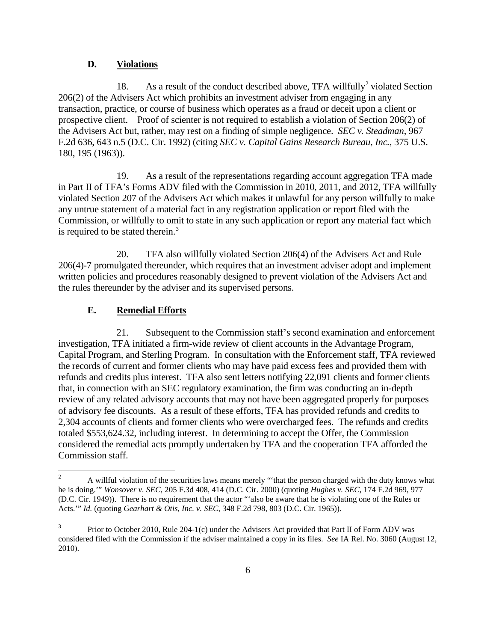### **D. Violations**

18. As a result of the conduct described above, TFA willfully<sup>2</sup> violated Section 206(2) of the Advisers Act which prohibits an investment adviser from engaging in any transaction, practice, or course of business which operates as a fraud or deceit upon a client or prospective client. Proof of scienter is not required to establish a violation of Section 206(2) of the Advisers Act but, rather, may rest on a finding of simple negligence. *SEC v. Steadman*, 967 F.2d 636, 643 n.5 (D.C. Cir. 1992) (citing *SEC v. Capital Gains Research Bureau, Inc.*, 375 U.S. 180, 195 (1963)).

19. As a result of the representations regarding account aggregation TFA made in Part II of TFA's Forms ADV filed with the Commission in 2010, 2011, and 2012, TFA willfully violated Section 207 of the Advisers Act which makes it unlawful for any person willfully to make any untrue statement of a material fact in any registration application or report filed with the Commission, or willfully to omit to state in any such application or report any material fact which is required to be stated therein.<sup>3</sup>

20. TFA also willfully violated Section 206(4) of the Advisers Act and Rule 206(4)-7 promulgated thereunder, which requires that an investment adviser adopt and implement written policies and procedures reasonably designed to prevent violation of the Advisers Act and the rules thereunder by the adviser and its supervised persons.

#### **E. Remedial Efforts**

21. Subsequent to the Commission staff's second examination and enforcement investigation, TFA initiated a firm-wide review of client accounts in the Advantage Program, Capital Program, and Sterling Program. In consultation with the Enforcement staff, TFA reviewed the records of current and former clients who may have paid excess fees and provided them with refunds and credits plus interest. TFA also sent letters notifying 22,091 clients and former clients that, in connection with an SEC regulatory examination, the firm was conducting an in-depth review of any related advisory accounts that may not have been aggregated properly for purposes of advisory fee discounts. As a result of these efforts, TFA has provided refunds and credits to 2,304 accounts of clients and former clients who were overcharged fees. The refunds and credits totaled \$553,624.32, including interest. In determining to accept the Offer, the Commission considered the remedial acts promptly undertaken by TFA and the cooperation TFA afforded the Commission staff.

<sup>&</sup>lt;sup>2</sup> A willful violation of the securities laws means merely "that the person charged with the duty knows what he is doing.'" *Wonsover v. SEC*, 205 F.3d 408, 414 (D.C. Cir. 2000) (quoting *Hughes v. SEC*, 174 F.2d 969, 977 (D.C. Cir. 1949)). There is no requirement that the actor "'also be aware that he is violating one of the Rules or Acts.'" *Id.* (quoting *Gearhart & Otis, Inc. v. SEC*, 348 F.2d 798, 803 (D.C. Cir. 1965)).

Prior to October 2010, Rule 204-1(c) under the Advisers Act provided that Part II of Form ADV was considered filed with the Commission if the adviser maintained a copy in its files. *See* IA Rel. No. 3060 (August 12, 2010).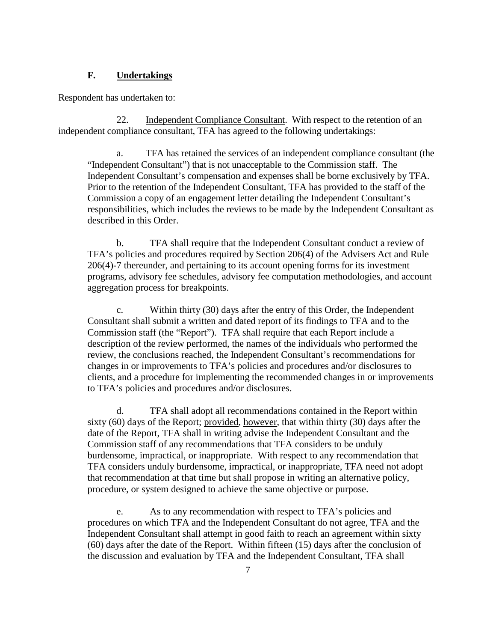### **F. Undertakings**

Respondent has undertaken to:

22. Independent Compliance Consultant. With respect to the retention of an independent compliance consultant, TFA has agreed to the following undertakings:

a. TFA has retained the services of an independent compliance consultant (the "Independent Consultant") that is not unacceptable to the Commission staff. The Independent Consultant's compensation and expenses shall be borne exclusively by TFA. Prior to the retention of the Independent Consultant, TFA has provided to the staff of the Commission a copy of an engagement letter detailing the Independent Consultant's responsibilities, which includes the reviews to be made by the Independent Consultant as described in this Order.

b. TFA shall require that the Independent Consultant conduct a review of TFA's policies and procedures required by Section 206(4) of the Advisers Act and Rule 206(4)-7 thereunder, and pertaining to its account opening forms for its investment programs, advisory fee schedules, advisory fee computation methodologies, and account aggregation process for breakpoints.

c. Within thirty (30) days after the entry of this Order, the Independent Consultant shall submit a written and dated report of its findings to TFA and to the Commission staff (the "Report"). TFA shall require that each Report include a description of the review performed, the names of the individuals who performed the review, the conclusions reached, the Independent Consultant's recommendations for changes in or improvements to TFA's policies and procedures and/or disclosures to clients, and a procedure for implementing the recommended changes in or improvements to TFA's policies and procedures and/or disclosures.

d. TFA shall adopt all recommendations contained in the Report within sixty (60) days of the Report; provided, however, that within thirty (30) days after the date of the Report, TFA shall in writing advise the Independent Consultant and the Commission staff of any recommendations that TFA considers to be unduly burdensome, impractical, or inappropriate. With respect to any recommendation that TFA considers unduly burdensome, impractical, or inappropriate, TFA need not adopt that recommendation at that time but shall propose in writing an alternative policy, procedure, or system designed to achieve the same objective or purpose.

e. As to any recommendation with respect to TFA's policies and procedures on which TFA and the Independent Consultant do not agree, TFA and the Independent Consultant shall attempt in good faith to reach an agreement within sixty (60) days after the date of the Report. Within fifteen (15) days after the conclusion of the discussion and evaluation by TFA and the Independent Consultant, TFA shall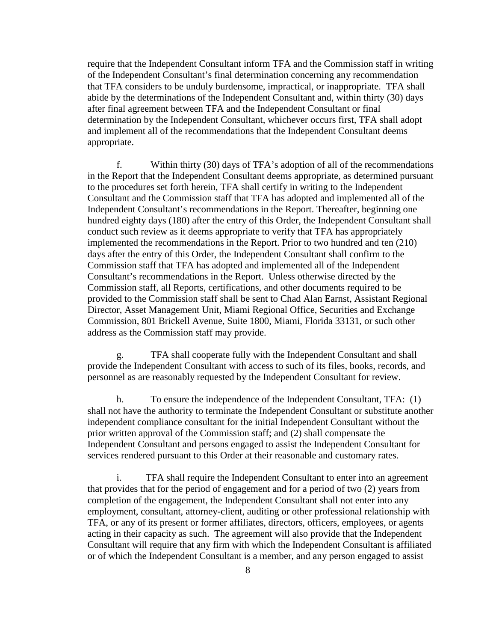require that the Independent Consultant inform TFA and the Commission staff in writing of the Independent Consultant's final determination concerning any recommendation that TFA considers to be unduly burdensome, impractical, or inappropriate. TFA shall abide by the determinations of the Independent Consultant and, within thirty (30) days after final agreement between TFA and the Independent Consultant or final determination by the Independent Consultant, whichever occurs first, TFA shall adopt and implement all of the recommendations that the Independent Consultant deems appropriate.

f. Within thirty (30) days of TFA's adoption of all of the recommendations in the Report that the Independent Consultant deems appropriate, as determined pursuant to the procedures set forth herein, TFA shall certify in writing to the Independent Consultant and the Commission staff that TFA has adopted and implemented all of the Independent Consultant's recommendations in the Report. Thereafter, beginning one hundred eighty days (180) after the entry of this Order, the Independent Consultant shall conduct such review as it deems appropriate to verify that TFA has appropriately implemented the recommendations in the Report. Prior to two hundred and ten (210) days after the entry of this Order, the Independent Consultant shall confirm to the Commission staff that TFA has adopted and implemented all of the Independent Consultant's recommendations in the Report. Unless otherwise directed by the Commission staff, all Reports, certifications, and other documents required to be provided to the Commission staff shall be sent to Chad Alan Earnst, Assistant Regional Director, Asset Management Unit, Miami Regional Office, Securities and Exchange Commission, 801 Brickell Avenue, Suite 1800, Miami, Florida 33131, or such other address as the Commission staff may provide.

g. TFA shall cooperate fully with the Independent Consultant and shall provide the Independent Consultant with access to such of its files, books, records, and personnel as are reasonably requested by the Independent Consultant for review.

h. To ensure the independence of the Independent Consultant, TFA: (1) shall not have the authority to terminate the Independent Consultant or substitute another independent compliance consultant for the initial Independent Consultant without the prior written approval of the Commission staff; and (2) shall compensate the Independent Consultant and persons engaged to assist the Independent Consultant for services rendered pursuant to this Order at their reasonable and customary rates.

i. TFA shall require the Independent Consultant to enter into an agreement that provides that for the period of engagement and for a period of two (2) years from completion of the engagement, the Independent Consultant shall not enter into any employment, consultant, attorney-client, auditing or other professional relationship with TFA, or any of its present or former affiliates, directors, officers, employees, or agents acting in their capacity as such. The agreement will also provide that the Independent Consultant will require that any firm with which the Independent Consultant is affiliated or of which the Independent Consultant is a member, and any person engaged to assist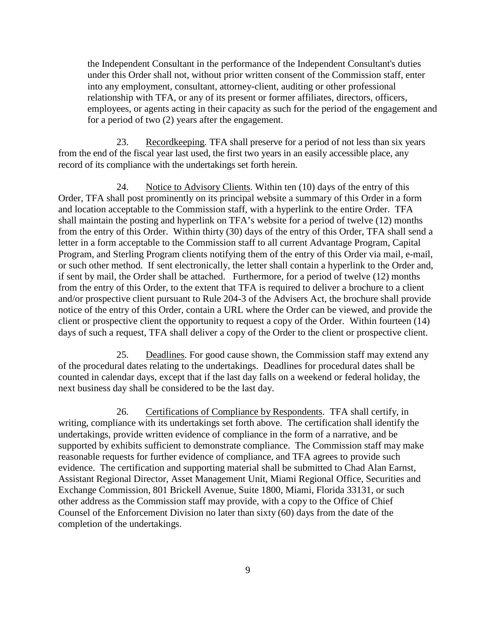the Independent Consultant in the performance of the Independent Consultant's duties under this Order shall not, without prior written consent of the Commission staff, enter into any employment, consultant, attorney-client, auditing or other professional relationship with TFA, or any of its present or former affiliates, directors, officers, employees, or agents acting in their capacity as such for the period of the engagement and for a period of two (2) years after the engagement.

23. Recordkeeping. TFA shall preserve for a period of not less than six years from the end of the fiscal year last used, the first two years in an easily accessible place, any record of its compliance with the undertakings set forth herein.

24. Notice to Advisory Clients. Within ten (10) days of the entry of this Order, TFA shall post prominently on its principal website a summary of this Order in a form and location acceptable to the Commission staff, with a hyperlink to the entire Order. TFA shall maintain the posting and hyperlink on TFA's website for a period of twelve (12) months from the entry of this Order. Within thirty (30) days of the entry of this Order, TFA shall send a letter in a form acceptable to the Commission staff to all current Advantage Program, Capital Program, and Sterling Program clients notifying them of the entry of this Order via mail, e-mail, or such other method. If sent electronically, the letter shall contain a hyperlink to the Order and, if sent by mail, the Order shall be attached. Furthermore, for a period of twelve (12) months from the entry of this Order, to the extent that TFA is required to deliver a brochure to a client and/or prospective client pursuant to Rule 204-3 of the Advisers Act, the brochure shall provide notice of the entry of this Order, contain a URL where the Order can be viewed, and provide the client or prospective client the opportunity to request a copy of the Order. Within fourteen (14) days of such a request, TFA shall deliver a copy of the Order to the client or prospective client.

25. Deadlines. For good cause shown, the Commission staff may extend any of the procedural dates relating to the undertakings. Deadlines for procedural dates shall be counted in calendar days, except that if the last day falls on a weekend or federal holiday, the next business day shall be considered to be the last day.

26. Certifications of Compliance by Respondents. TFA shall certify, in writing, compliance with its undertakings set forth above. The certification shall identify the undertakings, provide written evidence of compliance in the form of a narrative, and be supported by exhibits sufficient to demonstrate compliance. The Commission staff may make reasonable requests for further evidence of compliance, and TFA agrees to provide such evidence. The certification and supporting material shall be submitted to Chad Alan Earnst, Assistant Regional Director, Asset Management Unit, Miami Regional Office, Securities and Exchange Commission, 801 Brickell Avenue, Suite 1800, Miami, Florida 33131, or such other address as the Commission staff may provide, with a copy to the Office of Chief Counsel of the Enforcement Division no later than sixty (60) days from the date of the completion of the undertakings.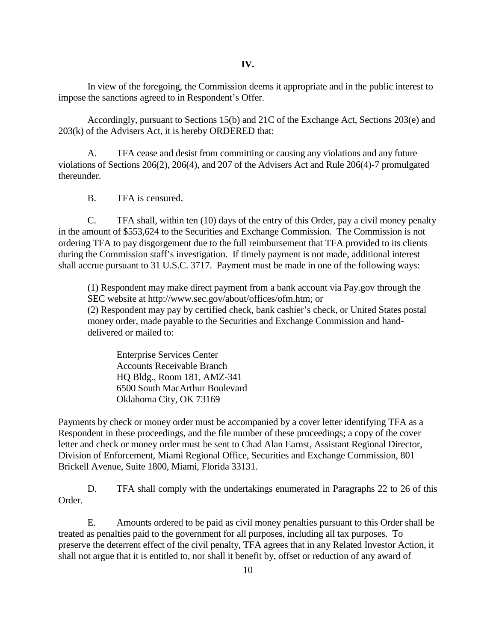In view of the foregoing, the Commission deems it appropriate and in the public interest to impose the sanctions agreed to in Respondent's Offer.

Accordingly, pursuant to Sections 15(b) and 21C of the Exchange Act, Sections 203(e) and 203(k) of the Advisers Act, it is hereby ORDERED that:

A. TFA cease and desist from committing or causing any violations and any future violations of Sections 206(2), 206(4), and 207 of the Advisers Act and Rule 206(4)-7 promulgated thereunder.

B. TFA is censured.

C. TFA shall, within ten (10) days of the entry of this Order, pay a civil money penalty in the amount of \$553,624 to the Securities and Exchange Commission*.* The Commission is not ordering TFA to pay disgorgement due to the full reimbursement that TFA provided to its clients during the Commission staff's investigation. If timely payment is not made, additional interest shall accrue pursuant to 31 U.S.C. 3717. Payment must be made in one of the following ways:

(1) Respondent may make direct payment from a bank account via Pay.gov through the SEC website at http://www.sec.gov/about/offices/ofm.htm; or (2) Respondent may pay by certified check, bank cashier's check, or United States postal money order, made payable to the Securities and Exchange Commission and handdelivered or mailed to:

Enterprise Services Center Accounts Receivable Branch HQ Bldg., Room 181, AMZ-341 6500 South MacArthur Boulevard Oklahoma City, OK 73169

Payments by check or money order must be accompanied by a cover letter identifying TFA as a Respondent in these proceedings, and the file number of these proceedings; a copy of the cover letter and check or money order must be sent to Chad Alan Earnst, Assistant Regional Director, Division of Enforcement, Miami Regional Office, Securities and Exchange Commission, 801 Brickell Avenue, Suite 1800, Miami, Florida 33131.

D. TFA shall comply with the undertakings enumerated in Paragraphs 22 to 26 of this Order.

E. Amounts ordered to be paid as civil money penalties pursuant to this Order shall be treated as penalties paid to the government for all purposes, including all tax purposes. To preserve the deterrent effect of the civil penalty, TFA agrees that in any Related Investor Action, it shall not argue that it is entitled to, nor shall it benefit by, offset or reduction of any award of